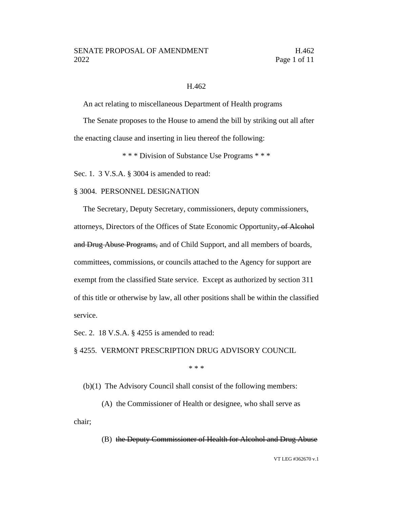#### H.462

An act relating to miscellaneous Department of Health programs

The Senate proposes to the House to amend the bill by striking out all after the enacting clause and inserting in lieu thereof the following:

\* \* \* Division of Substance Use Programs \* \* \*

Sec. 1. 3 V.S.A. § 3004 is amended to read:

#### § 3004. PERSONNEL DESIGNATION

The Secretary, Deputy Secretary, commissioners, deputy commissioners, attorneys, Directors of the Offices of State Economic Opportunity, of Alcohol and Drug Abuse Programs, and of Child Support, and all members of boards, committees, commissions, or councils attached to the Agency for support are exempt from the classified State service. Except as authorized by section 311 of this title or otherwise by law, all other positions shall be within the classified service.

Sec. 2. 18 V.S.A. § 4255 is amended to read:

§ 4255. VERMONT PRESCRIPTION DRUG ADVISORY COUNCIL

\* \* \*

(b)(1) The Advisory Council shall consist of the following members:

(A) the Commissioner of Health or designee, who shall serve as chair;

(B) the Deputy Commissioner of Health for Alcohol and Drug Abuse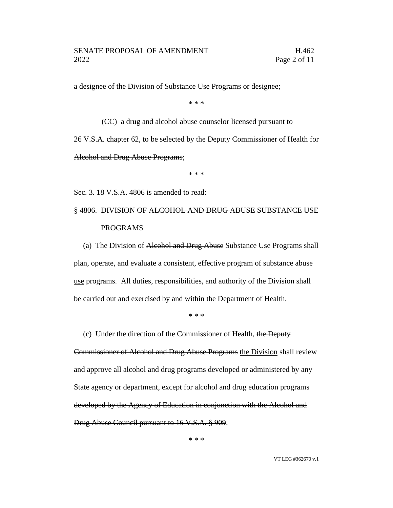a designee of the Division of Substance Use Programs or designee;

\* \* \*

(CC) a drug and alcohol abuse counselor licensed pursuant to 26 V.S.A. chapter 62, to be selected by the Deputy Commissioner of Health for Alcohol and Drug Abuse Programs;

\* \* \*

Sec. 3. 18 V.S.A. 4806 is amended to read:

# § 4806. DIVISION OF <del>ALCOHOL AND DRUG ABUSE</del> SUBSTANCE USE PROGRAMS

(a) The Division of Alcohol and Drug Abuse Substance Use Programs shall plan, operate, and evaluate a consistent, effective program of substance abuse use programs. All duties, responsibilities, and authority of the Division shall be carried out and exercised by and within the Department of Health.

\* \* \*

(c) Under the direction of the Commissioner of Health, the Deputy

Commissioner of Alcohol and Drug Abuse Programs the Division shall review and approve all alcohol and drug programs developed or administered by any State agency or department, except for alcohol and drug education programs developed by the Agency of Education in conjunction with the Alcohol and Drug Abuse Council pursuant to 16 V.S.A. § 909.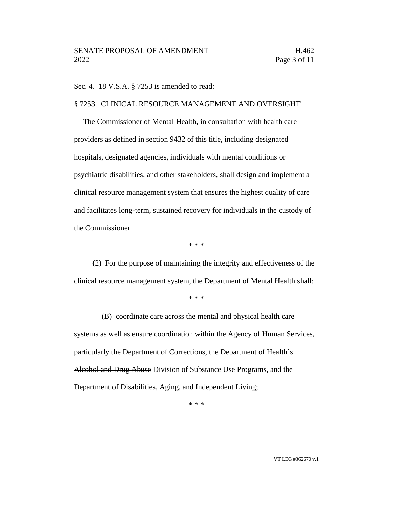Sec. 4. 18 V.S.A. § 7253 is amended to read:

### § 7253. CLINICAL RESOURCE MANAGEMENT AND OVERSIGHT

The Commissioner of Mental Health, in consultation with health care providers as defined in section 9432 of this title, including designated hospitals, designated agencies, individuals with mental conditions or psychiatric disabilities, and other stakeholders, shall design and implement a clinical resource management system that ensures the highest quality of care and facilitates long-term, sustained recovery for individuals in the custody of the Commissioner.

\* \* \*

(2) For the purpose of maintaining the integrity and effectiveness of the clinical resource management system, the Department of Mental Health shall:

\* \* \*

(B) coordinate care across the mental and physical health care systems as well as ensure coordination within the Agency of Human Services, particularly the Department of Corrections, the Department of Health's Alcohol and Drug Abuse Division of Substance Use Programs, and the Department of Disabilities, Aging, and Independent Living;

\* \* \*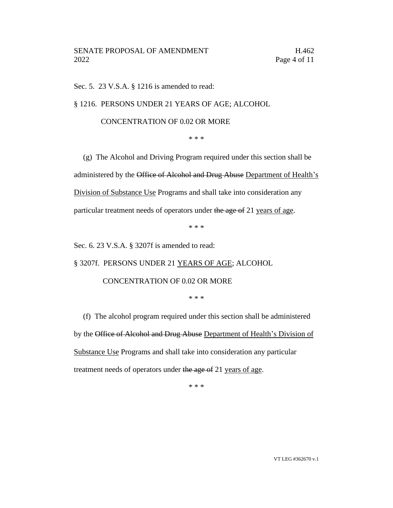Sec. 5. 23 V.S.A. § 1216 is amended to read:

§ 1216. PERSONS UNDER 21 YEARS OF AGE; ALCOHOL

## CONCENTRATION OF 0.02 OR MORE

\* \* \*

(g) The Alcohol and Driving Program required under this section shall be administered by the Office of Alcohol and Drug Abuse Department of Health's Division of Substance Use Programs and shall take into consideration any particular treatment needs of operators under the age of 21 years of age.

\* \* \*

Sec. 6. 23 V.S.A. § 3207f is amended to read:

§ 3207f. PERSONS UNDER 21 YEARS OF AGE; ALCOHOL

## CONCENTRATION OF 0.02 OR MORE

\* \* \*

(f) The alcohol program required under this section shall be administered by the Office of Alcohol and Drug Abuse Department of Health's Division of Substance Use Programs and shall take into consideration any particular treatment needs of operators under the age of 21 years of age.

\* \* \*

VT LEG #362670 v.1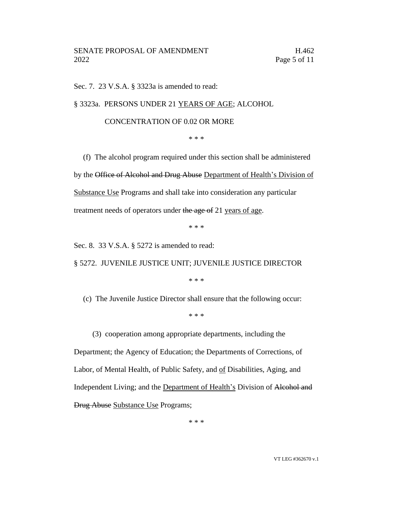Sec. 7. 23 V.S.A. § 3323a is amended to read:

§ 3323a. PERSONS UNDER 21 YEARS OF AGE; ALCOHOL

## CONCENTRATION OF 0.02 OR MORE

\* \* \*

(f) The alcohol program required under this section shall be administered by the Office of Alcohol and Drug Abuse Department of Health's Division of Substance Use Programs and shall take into consideration any particular treatment needs of operators under the age of 21 years of age.

\* \* \*

Sec. 8. 33 V.S.A. § 5272 is amended to read:

§ 5272. JUVENILE JUSTICE UNIT; JUVENILE JUSTICE DIRECTOR

\* \* \*

(c) The Juvenile Justice Director shall ensure that the following occur:

\* \* \*

(3) cooperation among appropriate departments, including the

Department; the Agency of Education; the Departments of Corrections, of Labor, of Mental Health, of Public Safety, and of Disabilities, Aging, and Independent Living; and the Department of Health's Division of Alcohol and Drug Abuse Substance Use Programs;

\* \* \*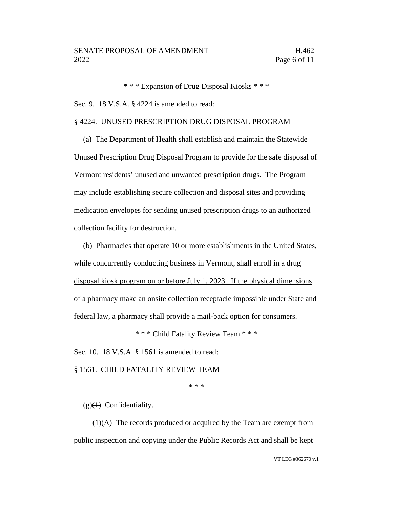\* \* \* Expansion of Drug Disposal Kiosks \* \* \*

Sec. 9. 18 V.S.A. § 4224 is amended to read:

## § 4224. UNUSED PRESCRIPTION DRUG DISPOSAL PROGRAM

(a) The Department of Health shall establish and maintain the Statewide Unused Prescription Drug Disposal Program to provide for the safe disposal of Vermont residents' unused and unwanted prescription drugs. The Program may include establishing secure collection and disposal sites and providing medication envelopes for sending unused prescription drugs to an authorized collection facility for destruction.

(b) Pharmacies that operate 10 or more establishments in the United States, while concurrently conducting business in Vermont, shall enroll in a drug disposal kiosk program on or before July 1, 2023. If the physical dimensions of a pharmacy make an onsite collection receptacle impossible under State and federal law, a pharmacy shall provide a mail-back option for consumers.

\* \* \* Child Fatality Review Team \* \* \*

Sec. 10. 18 V.S.A. § 1561 is amended to read:

§ 1561. CHILD FATALITY REVIEW TEAM

\* \* \*

 $(g)(1)$  Confidentiality.

 $(1)(A)$  The records produced or acquired by the Team are exempt from public inspection and copying under the Public Records Act and shall be kept

VT LEG #362670 v.1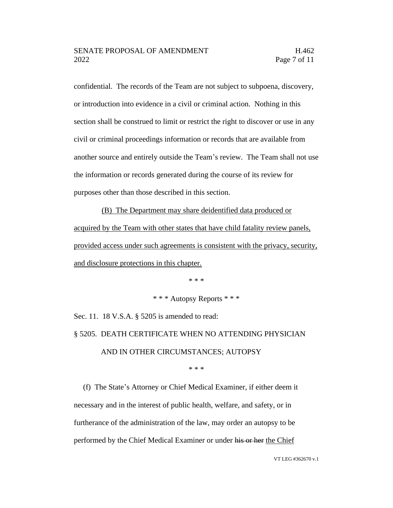confidential. The records of the Team are not subject to subpoena, discovery, or introduction into evidence in a civil or criminal action. Nothing in this section shall be construed to limit or restrict the right to discover or use in any civil or criminal proceedings information or records that are available from another source and entirely outside the Team's review. The Team shall not use the information or records generated during the course of its review for purposes other than those described in this section.

(B) The Department may share deidentified data produced or acquired by the Team with other states that have child fatality review panels, provided access under such agreements is consistent with the privacy, security, and disclosure protections in this chapter.

\* \* \*

\* \* \* Autopsy Reports \* \* \*

Sec. 11. 18 V.S.A. § 5205 is amended to read: § 5205. DEATH CERTIFICATE WHEN NO ATTENDING PHYSICIAN AND IN OTHER CIRCUMSTANCES; AUTOPSY

\* \* \*

(f) The State's Attorney or Chief Medical Examiner, if either deem it necessary and in the interest of public health, welfare, and safety, or in furtherance of the administration of the law, may order an autopsy to be performed by the Chief Medical Examiner or under his or her the Chief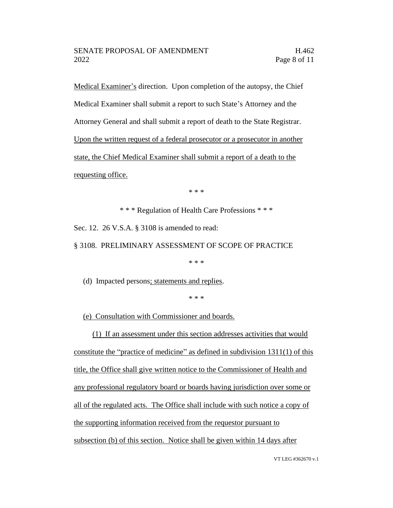Medical Examiner's direction. Upon completion of the autopsy, the Chief Medical Examiner shall submit a report to such State's Attorney and the Attorney General and shall submit a report of death to the State Registrar. Upon the written request of a federal prosecutor or a prosecutor in another state, the Chief Medical Examiner shall submit a report of a death to the requesting office.

\* \* \*

\* \* \* Regulation of Health Care Professions \* \* \*

Sec. 12. 26 V.S.A. § 3108 is amended to read:

§ 3108. PRELIMINARY ASSESSMENT OF SCOPE OF PRACTICE

\* \* \*

(d) Impacted persons; statements and replies.

\* \* \*

(e) Consultation with Commissioner and boards.

(1) If an assessment under this section addresses activities that would constitute the "practice of medicine" as defined in subdivision 1311(1) of this title, the Office shall give written notice to the Commissioner of Health and any professional regulatory board or boards having jurisdiction over some or all of the regulated acts. The Office shall include with such notice a copy of the supporting information received from the requestor pursuant to subsection (b) of this section. Notice shall be given within 14 days after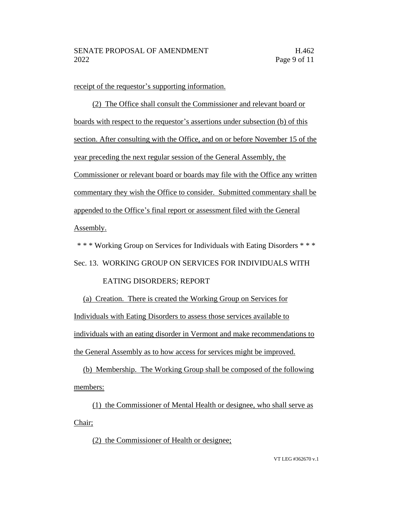receipt of the requestor's supporting information.

(2) The Office shall consult the Commissioner and relevant board or boards with respect to the requestor's assertions under subsection (b) of this section. After consulting with the Office, and on or before November 15 of the year preceding the next regular session of the General Assembly, the Commissioner or relevant board or boards may file with the Office any written commentary they wish the Office to consider. Submitted commentary shall be appended to the Office's final report or assessment filed with the General Assembly.

\* \* \* Working Group on Services for Individuals with Eating Disorders \* \* \*

Sec. 13. WORKING GROUP ON SERVICES FOR INDIVIDUALS WITH

## EATING DISORDERS; REPORT

(a) Creation. There is created the Working Group on Services for Individuals with Eating Disorders to assess those services available to individuals with an eating disorder in Vermont and make recommendations to the General Assembly as to how access for services might be improved.

(b) Membership. The Working Group shall be composed of the following members:

(1) the Commissioner of Mental Health or designee, who shall serve as Chair;

(2) the Commissioner of Health or designee;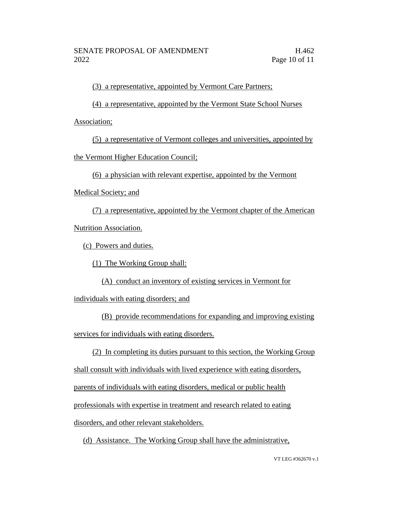(3) a representative, appointed by Vermont Care Partners;

(4) a representative, appointed by the Vermont State School Nurses

Association;

(5) a representative of Vermont colleges and universities, appointed by

the Vermont Higher Education Council;

(6) a physician with relevant expertise, appointed by the Vermont

Medical Society; and

(7) a representative, appointed by the Vermont chapter of the American Nutrition Association.

(c) Powers and duties.

(1) The Working Group shall:

(A) conduct an inventory of existing services in Vermont for

individuals with eating disorders; and

(B) provide recommendations for expanding and improving existing services for individuals with eating disorders.

(2) In completing its duties pursuant to this section, the Working Group

shall consult with individuals with lived experience with eating disorders,

parents of individuals with eating disorders, medical or public health

professionals with expertise in treatment and research related to eating

disorders, and other relevant stakeholders.

(d) Assistance. The Working Group shall have the administrative,